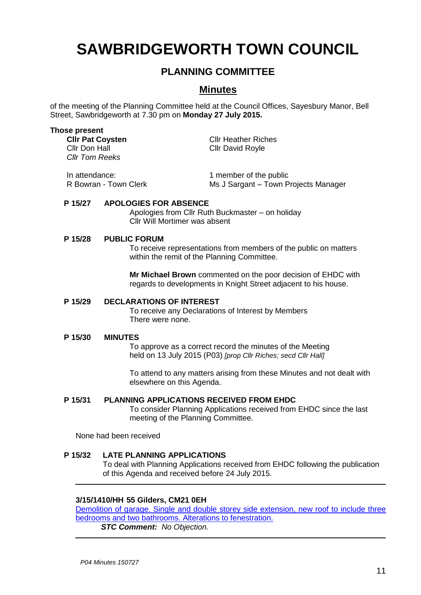# **SAWBRIDGEWORTH TOWN COUNCIL**

# **PLANNING COMMITTEE**

# **Minutes**

of the meeting of the Planning Committee held at the Council Offices, Sayesbury Manor, Bell Street, Sawbridgeworth at 7.30 pm on **Monday 27 July 2015.**

#### **Those present**

| <b>CIIr Pat Coysten</b><br>Cllr Don Hall<br>Cllr Tom Reeks | <b>Cllr Heather Riches</b><br><b>Cllr David Royle</b> |
|------------------------------------------------------------|-------------------------------------------------------|
| In attendance:                                             | 1 member of the public                                |

R Bowran - Town Clerk Ms J Sargant – Town Projects Manager

## **P 15/27 APOLOGIES FOR ABSENCE**

Apologies from Cllr Ruth Buckmaster – on holiday Cllr Will Mortimer was absent

## **P 15/28 PUBLIC FORUM**

To receive representations from members of the public on matters within the remit of the Planning Committee.

**Mr Michael Brown** commented on the poor decision of EHDC with regards to developments in Knight Street adjacent to his house.

## **P 15/29 DECLARATIONS OF INTEREST**

To receive any Declarations of Interest by Members There were none.

#### **P 15/30 MINUTES**

To approve as a correct record the minutes of the Meeting held on 13 July 2015 (P03) *[prop Cllr Riches; secd Cllr Hall]*

To attend to any matters arising from these Minutes and not dealt with elsewhere on this Agenda.

## **P 15/31 PLANNING APPLICATIONS RECEIVED FROM EHDC**

To consider Planning Applications received from EHDC since the last meeting of the Planning Committee.

None had been received

## **P 15/32 LATE PLANNING APPLICATIONS**

To deal with Planning Applications received from EHDC following the publication of this Agenda and received before 24 July 2015.

## **3/15/1410/HH 55 Gilders, CM21 0EH**

Demolition of garage. Single and double storey side extension, new roof to include three bedrooms and two bathrooms. Alterations to fenestration.

*STC Comment: No Objection.*